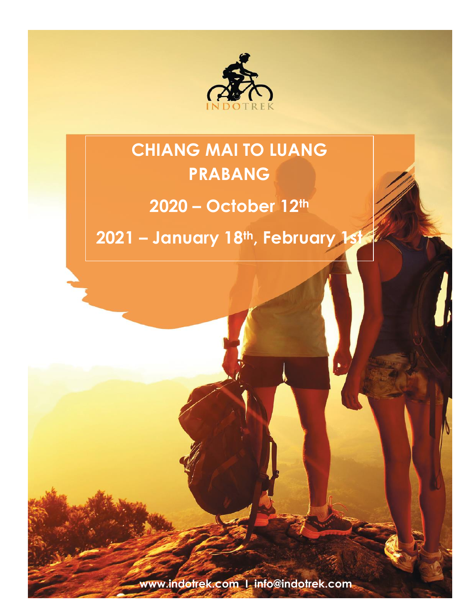

# **CHIANG MAI TO LUANG PRABANG**

# **2020 – October 12th**

**2021 – January 18th, February 1st**

**www.indotrek.com I info@indotrek.com**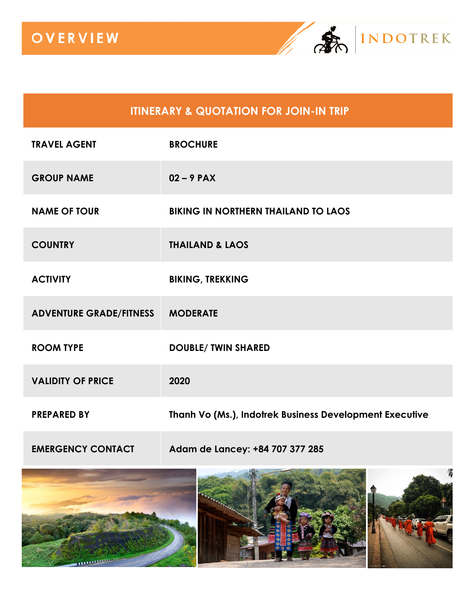

## **ITINERARY & QUOTATION FOR JOIN-IN TRIP**

| <b>TRAVEL AGENT</b>            | <b>BROCHURE</b>                                         |
|--------------------------------|---------------------------------------------------------|
| <b>GROUP NAME</b>              | $02 - 9$ PAX                                            |
| <b>NAME OF TOUR</b>            | <b>BIKING IN NORTHERN THAILAND TO LAOS</b>              |
| <b>COUNTRY</b>                 | <b>THAILAND &amp; LAOS</b>                              |
| <b>ACTIVITY</b>                | <b>BIKING, TREKKING</b>                                 |
| <b>ADVENTURE GRADE/FITNESS</b> | <b>MODERATE</b>                                         |
| <b>ROOM TYPE</b>               | <b>DOUBLE/ TWIN SHARED</b>                              |
| <b>VALIDITY OF PRICE</b>       | 2020                                                    |
| <b>PREPARED BY</b>             | Thanh Vo (Ms.), Indotrek Business Development Executive |
| <b>EMERGENCY CONTACT</b>       | Adam de Lancey: +84 707 377 285                         |

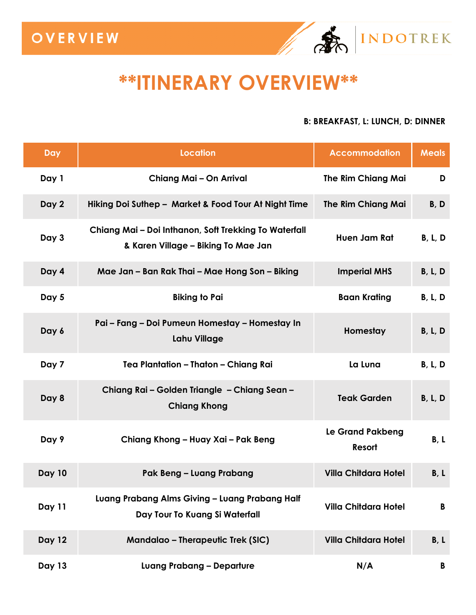# **\*\*ITINERARY OVERVIEW\*\***

#### **B: BREAKFAST, L: LUNCH, D: DINNER**

INDOTREK

| Day           | <b>Location</b>                                                                              | <b>Accommodation</b>              | <b>Meals</b> |
|---------------|----------------------------------------------------------------------------------------------|-----------------------------------|--------------|
| Day 1         | Chiang Mai - On Arrival                                                                      | <b>The Rim Chiang Mai</b>         | D            |
| Day 2         | Hiking Doi Suthep - Market & Food Tour At Night Time                                         | <b>The Rim Chiang Mai</b>         | B, D         |
| Day 3         | Chiang Mai - Doi Inthanon, Soft Trekking To Waterfall<br>& Karen Village - Biking To Mae Jan | Huen Jam Rat                      | B, L, D      |
| Day 4         | Mae Jan - Ban Rak Thai - Mae Hong Son - Biking                                               | <b>Imperial MHS</b>               | B, L, D      |
| Day 5         | <b>Biking to Pai</b>                                                                         | <b>Baan Krating</b>               | B, L, D      |
| Day 6         | Pai - Fang - Doi Pumeun Homestay - Homestay In<br><b>Lahu Village</b>                        | Homestay                          | B, L, D      |
| Day 7         | Tea Plantation - Thaton - Chiang Rai                                                         | La Luna                           | B, L, D      |
| Day 8         | Chiang Rai - Golden Triangle - Chiang Sean -<br><b>Chiang Khong</b>                          | <b>Teak Garden</b>                | B, L, D      |
| Day 9         | Chiang Khong - Huay Xai - Pak Beng                                                           | <b>Le Grand Pakbeng</b><br>Resort | B, L         |
| <b>Day 10</b> | Pak Beng - Luang Prabang                                                                     | <b>Villa Chitdara Hotel</b>       | B, L         |
| Day 11        | Luang Prabang Alms Giving - Luang Prabang Half<br>Day Tour To Kuang Si Waterfall             | <b>Villa Chitdara Hotel</b>       | B            |
| <b>Day 12</b> | <b>Mandalao - Therapeutic Trek (SIC)</b>                                                     | <b>Villa Chitdara Hotel</b>       | B, L         |
| <b>Day 13</b> | <b>Luang Prabang - Departure</b>                                                             | N/A                               | B            |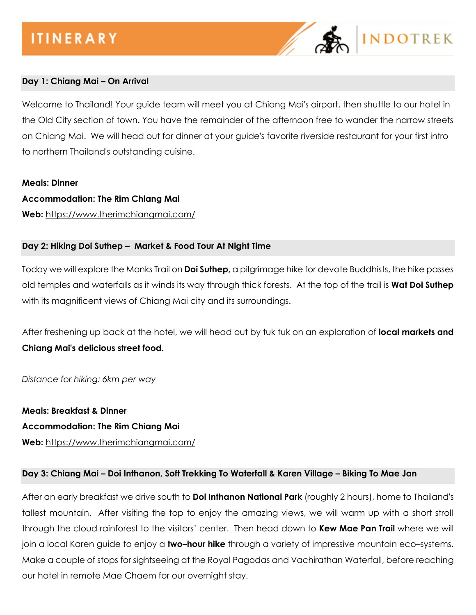

#### **Day 1: Chiang Mai – On Arrival**

Welcome to Thailand! Your guide team will meet you at Chiang Mai's airport, then shuttle to our hotel in the Old City section of town. You have the remainder of the afternoon free to wander the narrow streets on Chiang Mai. We will head out for dinner at your guide's favorite riverside restaurant for your first intro to northern Thailand's outstanding cuisine.

#### **Meals: Dinner**

#### **Accommodation: The Rim Chiang Mai**

**Web:** <https://www.therimchiangmai.com/>

#### **Day 2: Hiking Doi Suthep – Market & Food Tour At Night Time**

Today we will explore the Monks Trail on **Doi Suthep,** a pilgrimage hike for devote Buddhists, the hike passes old temples and waterfalls as it winds its way through thick forests. At the top of the trail is **Wat Doi Suthep** with its magnificent views of Chiang Mai city and its surroundings.

After freshening up back at the hotel, we will head out by tuk tuk on an exploration of **local markets and Chiang Mai's delicious street food.**

*Distance for hiking: 6km per way* 

**Meals: Breakfast & Dinner Accommodation: The Rim Chiang Mai Web:** <https://www.therimchiangmai.com/>

#### **Day 3: Chiang Mai – Doi Inthanon, Soft Trekking To Waterfall & Karen Village – Biking To Mae Jan**

After an early breakfast we drive south to **Doi Inthanon National Park** (roughly 2 hours), home to Thailand's tallest mountain. After visiting the top to enjoy the amazing views, we will warm up with a short stroll through the cloud rainforest to the visitors' center. Then head down to **Kew Mae Pan Trail** where we will join a local Karen guide to enjoy a **two–hour hike** through a variety of impressive mountain eco–systems. Make a couple of stops for sightseeing at the Royal Pagodas and Vachirathan Waterfall, before reaching our hotel in remote Mae Chaem for our overnight stay.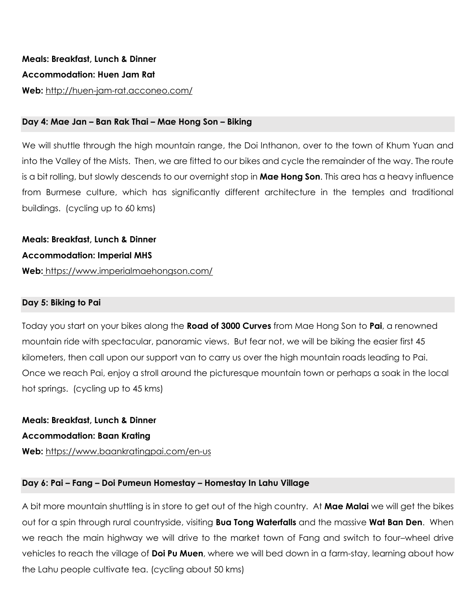#### **Day 4: Mae Jan – Ban Rak Thai – Mae Hong Son – Biking**

We will shuttle through the high mountain range, the Doi Inthanon, over to the town of Khum Yuan and into the Valley of the Mists. Then, we are fitted to our bikes and cycle the remainder of the way. The route is a bit rolling, but slowly descends to our overnight stop in **Mae Hong Son**. This area has a heavy influence from Burmese culture, which has significantly different architecture in the temples and traditional buildings. (cycling up to 60 kms)

**Meals: Breakfast, Lunch & Dinner Accommodation: Imperial MHS Web:** <https://www.imperialmaehongson.com/>

#### **Day 5: Biking to Pai**

Today you start on your bikes along the **Road of 3000 Curves** from Mae Hong Son to **Pai**, a renowned mountain ride with spectacular, panoramic views. But fear not, we will be biking the easier first 45 kilometers, then call upon our support van to carry us over the high mountain roads leading to Pai. Once we reach Pai, enjoy a stroll around the picturesque mountain town or perhaps a soak in the local hot springs. (cycling up to 45 kms)

**Meals: Breakfast, Lunch & Dinner Accommodation: Baan Krating Web:** <https://www.baankratingpai.com/en-us>

#### **Day 6: Pai – Fang – Doi Pumeun Homestay – Homestay In Lahu Village**

A bit more mountain shuttling is in store to get out of the high country. At **Mae Malai** we will get the bikes out for a spin through rural countryside, visiting **Bua Tong Waterfalls** and the massive **Wat Ban Den**. When we reach the main highway we will drive to the market town of Fang and switch to four–wheel drive vehicles to reach the village of **Doi Pu Muen**, where we will bed down in a farm-stay, learning about how the Lahu people cultivate tea. (cycling about 50 kms)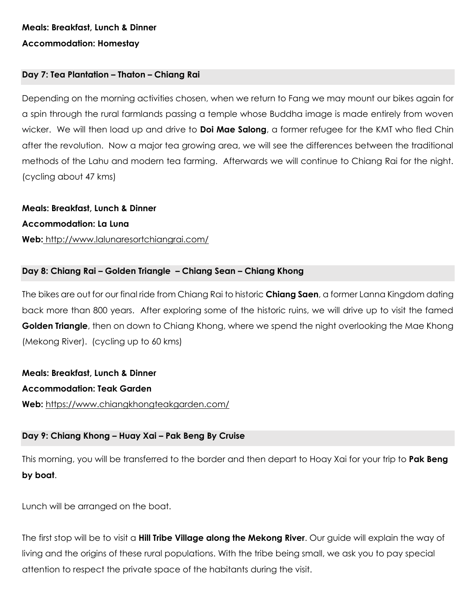### **Meals: Breakfast, Lunch & Dinner Accommodation: Homestay**

#### **Day 7: Tea Plantation – Thaton – Chiang Rai**

Depending on the morning activities chosen, when we return to Fang we may mount our bikes again for a spin through the rural farmlands passing a temple whose Buddha image is made entirely from woven wicker. We will then load up and drive to **Doi Mae Salong**, a former refugee for the KMT who fled Chin after the revolution. Now a major tea growing area, we will see the differences between the traditional methods of the Lahu and modern tea farming. Afterwards we will continue to Chiang Rai for the night. (cycling about 47 kms)

**Meals: Breakfast, Lunch & Dinner Accommodation: La Luna Web:** <http://www.lalunaresortchiangrai.com/>

#### **Day 8: Chiang Rai – Golden Triangle – Chiang Sean – Chiang Khong**

The bikes are out for our final ride from Chiang Rai to historic **Chiang Saen**, a former Lanna Kingdom dating back more than 800 years. After exploring some of the historic ruins, we will drive up to visit the famed **Golden Triangle**, then on down to Chiang Khong, where we spend the night overlooking the Mae Khong (Mekong River). (cycling up to 60 kms)

**Meals: Breakfast, Lunch & Dinner Accommodation: Teak Garden Web:** <https://www.chiangkhongteakgarden.com/>

#### **Day 9: Chiang Khong – Huay Xai – Pak Beng By Cruise**

This morning, you will be transferred to the border and then depart to Hoay Xai for your trip to **Pak Beng by boat**.

Lunch will be arranged on the boat.

The first stop will be to visit a **Hill Tribe Village along the Mekong River**. Our guide will explain the way of living and the origins of these rural populations. With the tribe being small, we ask you to pay special attention to respect the private space of the habitants during the visit.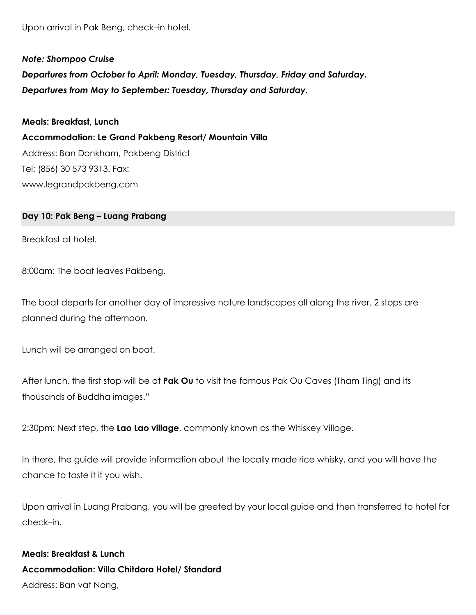Upon arrival in Pak Beng, check–in hotel.

*Note: Shompoo Cruise Departures from October to April: Monday, Tuesday, Thursday, Friday and Saturday. Departures from May to September: Tuesday, Thursday and Saturday.*

**Meals: Breakfast, Lunch Accommodation: Le Grand Pakbeng Resort/ Mountain Villa** Address: Ban Donkham, Pakbeng District Tel: (856) 30 573 9313. Fax: www.legrandpakbeng.com

#### **Day 10: Pak Beng – Luang Prabang**

Breakfast at hotel.

8:00am: The boat leaves Pakbeng.

The boat departs for another day of impressive nature landscapes all along the river. 2 stops are planned during the afternoon.

Lunch will be arranged on boat.

After lunch, the first stop will be at **Pak Ou** to visit the famous Pak Ou Caves (Tham Ting) and its thousands of Buddha images."

2:30pm: Next step, the **Lao Lao village**, commonly known as the Whiskey Village.

In there, the guide will provide information about the locally made rice whisky, and you will have the chance to taste it if you wish.

Upon arrival in Luang Prabang, you will be greeted by your local guide and then transferred to hotel for check–in.

# **Meals: Breakfast & Lunch Accommodation: Villa Chitdara Hotel/ Standard**

Address: Ban vat Nong,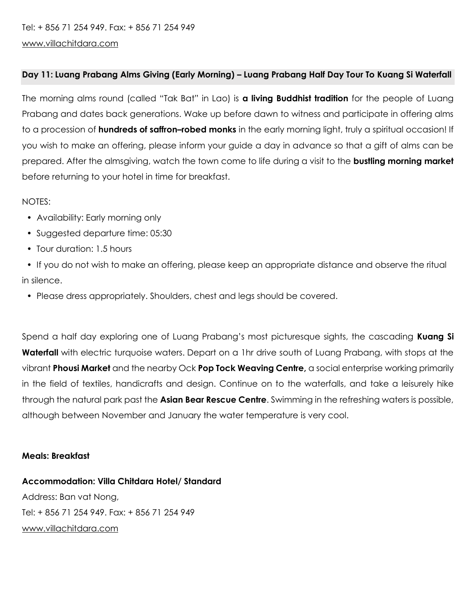#### **Day 11: Luang Prabang Alms Giving (Early Morning) – Luang Prabang Half Day Tour To Kuang Si Waterfall**

The morning alms round (called "Tak Bat" in Lao) is **a living Buddhist tradition** for the people of Luang Prabang and dates back generations. Wake up before dawn to witness and participate in offering alms to a procession of **hundreds of saffron–robed monks** in the early morning light, truly a spiritual occasion! If you wish to make an offering, please inform your guide a day in advance so that a gift of alms can be prepared. After the almsgiving, watch the town come to life during a visit to the **bustling morning market** before returning to your hotel in time for breakfast.

#### NOTES:

- Availability: Early morning only
- Suggested departure time: 05:30
- Tour duration: 1.5 hours
- If you do not wish to make an offering, please keep an appropriate distance and observe the ritual in silence.
	- Please dress appropriately. Shoulders, chest and legs should be covered.

Spend a half day exploring one of Luang Prabang's most picturesque sights, the cascading **Kuang Si Waterfall** with electric turquoise waters. Depart on a 1hr drive south of Luang Prabang, with stops at the vibrant **Phousi Market** and the nearby Ock **Pop Tock Weaving Centre,** a social enterprise working primarily in the field of textiles, handicrafts and design. Continue on to the waterfalls, and take a leisurely hike through the natural park past the **Asian Bear Rescue Centre**. Swimming in the refreshing waters is possible, although between November and January the water temperature is very cool.

#### **Meals: Breakfast**

**Accommodation: Villa Chitdara Hotel/ Standard** Address: Ban vat Nong,

Tel: + 856 71 254 949. Fax: + 856 71 254 949 [www.villachitdara.com](http://www.villachitdara.com/)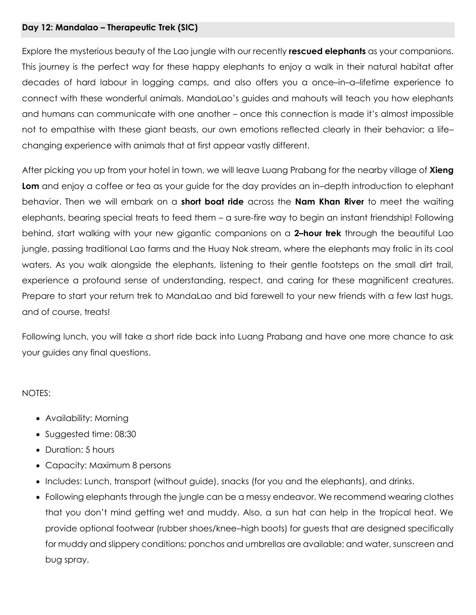#### **Day 12: Mandalao – Therapeutic Trek (SIC)**

Explore the mysterious beauty of the Lao jungle with our recently **rescued elephants** as your companions. This journey is the perfect way for these happy elephants to enjoy a walk in their natural habitat after decades of hard labour in logging camps, and also offers you a once–in–a–lifetime experience to connect with these wonderful animals. MandaLao's guides and mahouts will teach you how elephants and humans can communicate with one another – once this connection is made it's almost impossible not to empathise with these giant beasts, our own emotions reflected clearly in their behavior; a life– changing experience with animals that at first appear vastly different.

After picking you up from your hotel in town, we will leave Luang Prabang for the nearby village of **Xieng Lom** and enjoy a coffee or tea as your guide for the day provides an in–depth introduction to elephant behavior. Then we will embark on a **short boat ride** across the **Nam Khan River** to meet the waiting elephants, bearing special treats to feed them – a sure-fire way to begin an instant friendship! Following behind, start walking with your new gigantic companions on a **2–hour trek** through the beautiful Lao jungle, passing traditional Lao farms and the Huay Nok stream, where the elephants may frolic in its cool waters. As you walk alongside the elephants, listening to their gentle footsteps on the small dirt trail, experience a profound sense of understanding, respect, and caring for these magnificent creatures. Prepare to start your return trek to MandaLao and bid farewell to your new friends with a few last hugs, and of course, treats!

Following lunch, you will take a short ride back into Luang Prabang and have one more chance to ask your guides any final questions.

#### NOTES:

- Availability: Morning
- Suggested time: 08:30
- Duration: 5 hours
- Capacity: Maximum 8 persons
- Includes: Lunch, transport (without guide), snacks (for you and the elephants), and drinks.
- Following elephants through the jungle can be a messy endeavor. We recommend wearing clothes that you don't mind getting wet and muddy. Also, a sun hat can help in the tropical heat. We provide optional footwear (rubber shoes/knee–high boots) for guests that are designed specifically for muddy and slippery conditions; ponchos and umbrellas are available; and water, sunscreen and bug spray.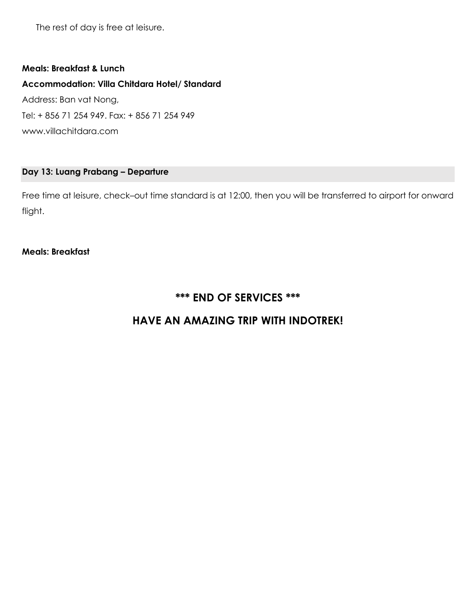The rest of day is free at leisure.

#### **Meals: Breakfast & Lunch**

#### **Accommodation: Villa Chitdara Hotel/ Standard**

Address: Ban vat Nong, Tel: + 856 71 254 949. Fax: + 856 71 254 949 www.villachitdara.com

#### **Day 13: Luang Prabang – Departure**

Free time at leisure, check–out time standard is at 12:00, then you will be transferred to airport for onward flight.

#### **Meals: Breakfast**

### **\*\*\* END OF SERVICES \*\*\***

### **HAVE AN AMAZING TRIP WITH INDOTREK!**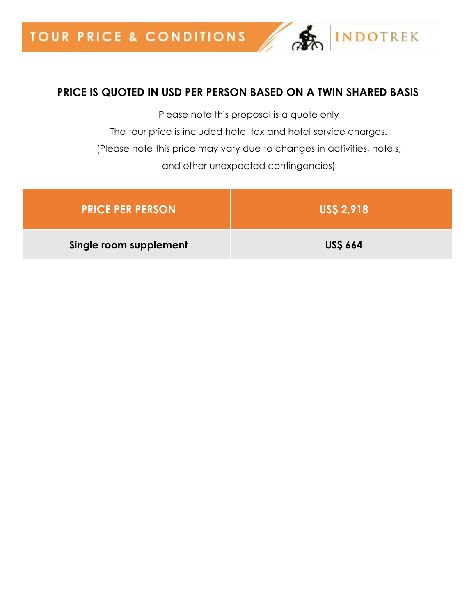# **PRICE IS QUOTED IN USD PER PERSON BASED ON A TWIN SHARED BASIS**

**INDOTREK** 

Please note this proposal is a quote only The tour price is included hotel tax and hotel service charges. (Please note this price may vary due to changes in activities, hotels, and other unexpected contingencies)

| <b>PRICE PER PERSON</b> | <b>USS 2,918</b> |
|-------------------------|------------------|
| Single room supplement  | <b>USS 664</b>   |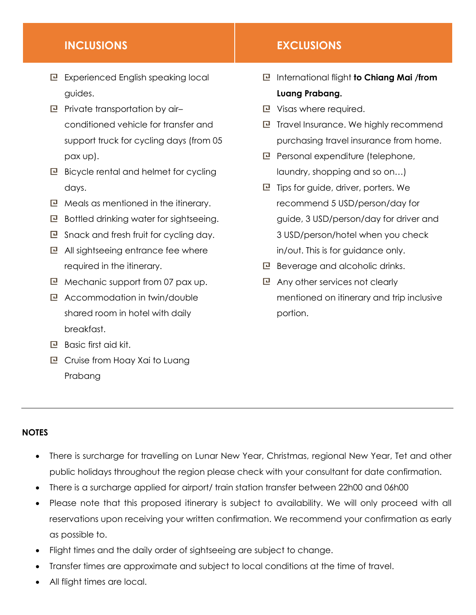- Experienced English speaking local guides.
- $\mathbf{P}$  Private transportation by airconditioned vehicle for transfer and support truck for cycling days (from 05 pax up).
- $\mathbb E$  Bicycle rental and helmet for cycling days.
- $\Box$  Meals as mentioned in the itinerary.
- $\Box$  Bottled drinking water for sightseeing.
- $E$  Snack and fresh fruit for cycling day.
- $E$  All sightseeing entrance fee where required in the itinerary.
- $\Box$  Mechanic support from 07 pax up.
- Accommodation in twin/double shared room in hotel with daily breakfast.
- **P** Basic first aid kit.
- Cruise from Hoay Xai to Luang Prabang

#### **INCLUSIONS EXCLUSIONS**

- International flight **to Chiang Mai /from Luang Prabang.**
- **P** Visas where required.
- $E$  Travel Insurance. We highly recommend purchasing travel insurance from home.
- $\mathbf{P}$  Personal expenditure (telephone, laundry, shopping and so on…)
- $E$  Tips for guide, driver, porters. We recommend 5 USD/person/day for guide, 3 USD/person/day for driver and 3 USD/person/hotel when you check in/out. This is for guidance only.
- **B** Beverage and alcoholic drinks.
- Any other services not clearly mentioned on itinerary and trip inclusive portion.

#### **NOTES**

- There is surcharge for travelling on Lunar New Year, Christmas, regional New Year, Tet and other public holidays throughout the region please check with your consultant for date confirmation.
- There is a surcharge applied for airport/ train station transfer between 22h00 and 06h00
- Please note that this proposed itinerary is subject to availability. We will only proceed with all reservations upon receiving your written confirmation. We recommend your confirmation as early as possible to.
- Flight times and the daily order of sightseeing are subject to change.
- Transfer times are approximate and subject to local conditions at the time of travel.
- All flight times are local.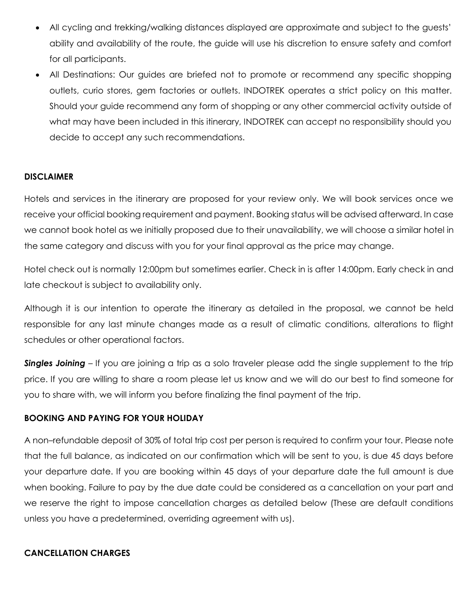- All cycling and trekking/walking distances displayed are approximate and subject to the guests' ability and availability of the route, the guide will use his discretion to ensure safety and comfort for all participants.
- All Destinations: Our guides are briefed not to promote or recommend any specific shopping outlets, curio stores, gem factories or outlets. INDOTREK operates a strict policy on this matter. Should your guide recommend any form of shopping or any other commercial activity outside of what may have been included in this itinerary, INDOTREK can accept no responsibility should you decide to accept any such recommendations.

#### **DISCLAIMER**

Hotels and services in the itinerary are proposed for your review only. We will book services once we receive your official booking requirement and payment. Booking status will be advised afterward. In case we cannot book hotel as we initially proposed due to their unavailability, we will choose a similar hotel in the same category and discuss with you for your final approval as the price may change.

Hotel check out is normally 12:00pm but sometimes earlier. Check in is after 14:00pm. Early check in and late checkout is subject to availability only.

Although it is our intention to operate the itinerary as detailed in the proposal, we cannot be held responsible for any last minute changes made as a result of climatic conditions, alterations to flight schedules or other operational factors.

**Singles Joining** – If you are joining a trip as a solo traveler please add the single supplement to the trip price. If you are willing to share a room please let us know and we will do our best to find someone for you to share with, we will inform you before finalizing the final payment of the trip.

#### **BOOKING AND PAYING FOR YOUR HOLIDAY**

A non–refundable deposit of 30% of total trip cost per person is required to confirm your tour. Please note that the full balance, as indicated on our confirmation which will be sent to you, is due 45 days before your departure date. If you are booking within 45 days of your departure date the full amount is due when booking. Failure to pay by the due date could be considered as a cancellation on your part and we reserve the right to impose cancellation charges as detailed below (These are default conditions unless you have a predetermined, overriding agreement with us).

#### **CANCELLATION CHARGES**